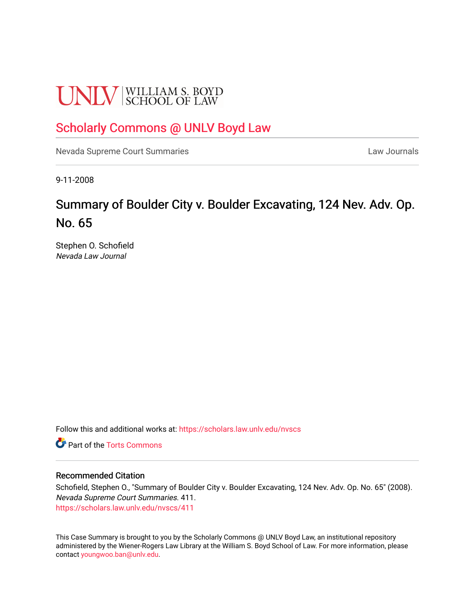# **UNLV** SCHOOL OF LAW

## [Scholarly Commons @ UNLV Boyd Law](https://scholars.law.unlv.edu/)

[Nevada Supreme Court Summaries](https://scholars.law.unlv.edu/nvscs) **Law Journals** Law Journals

9-11-2008

# Summary of Boulder City v. Boulder Excavating, 124 Nev. Adv. Op. No. 65

Stephen O. Schofield Nevada Law Journal

Follow this and additional works at: [https://scholars.law.unlv.edu/nvscs](https://scholars.law.unlv.edu/nvscs?utm_source=scholars.law.unlv.edu%2Fnvscs%2F411&utm_medium=PDF&utm_campaign=PDFCoverPages)

**C** Part of the [Torts Commons](http://network.bepress.com/hgg/discipline/913?utm_source=scholars.law.unlv.edu%2Fnvscs%2F411&utm_medium=PDF&utm_campaign=PDFCoverPages)

#### Recommended Citation

Schofield, Stephen O., "Summary of Boulder City v. Boulder Excavating, 124 Nev. Adv. Op. No. 65" (2008). Nevada Supreme Court Summaries. 411. [https://scholars.law.unlv.edu/nvscs/411](https://scholars.law.unlv.edu/nvscs/411?utm_source=scholars.law.unlv.edu%2Fnvscs%2F411&utm_medium=PDF&utm_campaign=PDFCoverPages)

This Case Summary is brought to you by the Scholarly Commons @ UNLV Boyd Law, an institutional repository administered by the Wiener-Rogers Law Library at the William S. Boyd School of Law. For more information, please contact [youngwoo.ban@unlv.edu](mailto:youngwoo.ban@unlv.edu).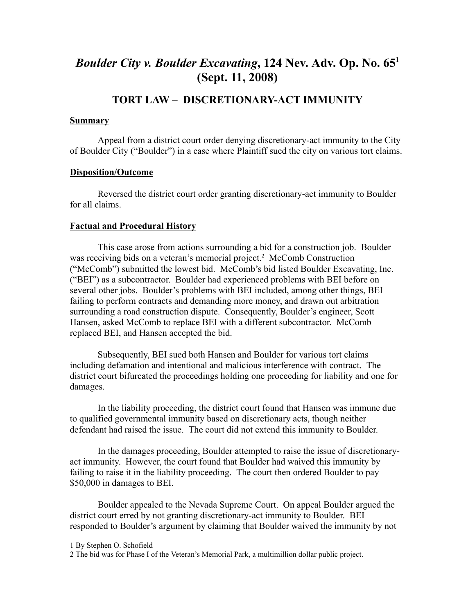## *Boulder City v. Boulder Excavating***, 124 Nev. Adv. Op. No. 651 (Sept. 11, 2008)**

### **TORT LAW – DISCRETIONARY-ACT IMMUNITY**

#### **Summary**

Appeal from a district court order denying discretionary-act immunity to the City of Boulder City ("Boulder") in a case where Plaintiff sued the city on various tort claims.

#### **Disposition/Outcome**

Reversed the district court order granting discretionary-act immunity to Boulder for all claims.

#### **Factual and Procedural History**

 This case arose from actions surrounding a bid for a construction job. Boulder was receiving bids on a veteran's memorial project.<sup>2</sup> McComb Construction ("McComb") submitted the lowest bid. McComb's bid listed Boulder Excavating, Inc. ("BEI") as a subcontractor. Boulder had experienced problems with BEI before on several other jobs. Boulder's problems with BEI included, among other things, BEI failing to perform contracts and demanding more money, and drawn out arbitration surrounding a road construction dispute. Consequently, Boulder's engineer, Scott Hansen, asked McComb to replace BEI with a different subcontractor. McComb replaced BEI, and Hansen accepted the bid.

Subsequently, BEI sued both Hansen and Boulder for various tort claims including defamation and intentional and malicious interference with contract. The district court bifurcated the proceedings holding one proceeding for liability and one for damages.

In the liability proceeding, the district court found that Hansen was immune due to qualified governmental immunity based on discretionary acts, though neither defendant had raised the issue. The court did not extend this immunity to Boulder.

In the damages proceeding, Boulder attempted to raise the issue of discretionaryact immunity. However, the court found that Boulder had waived this immunity by failing to raise it in the liability proceeding. The court then ordered Boulder to pay \$50,000 in damages to BEI.

Boulder appealed to the Nevada Supreme Court. On appeal Boulder argued the district court erred by not granting discretionary-act immunity to Boulder. BEI responded to Boulder's argument by claiming that Boulder waived the immunity by not

<sup>1</sup> By Stephen O. Schofield

<sup>2</sup> The bid was for Phase I of the Veteran's Memorial Park, a multimillion dollar public project.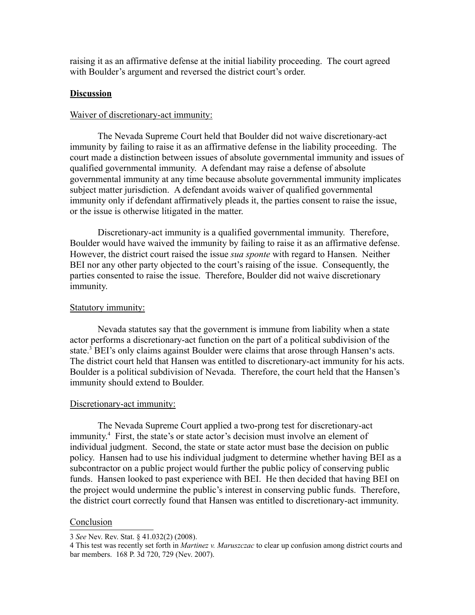raising it as an affirmative defense at the initial liability proceeding. The court agreed with Boulder's argument and reversed the district court's order.

#### **Discussion**

#### Waiver of discretionary-act immunity:

The Nevada Supreme Court held that Boulder did not waive discretionary-act immunity by failing to raise it as an affirmative defense in the liability proceeding. The court made a distinction between issues of absolute governmental immunity and issues of qualified governmental immunity. A defendant may raise a defense of absolute governmental immunity at any time because absolute governmental immunity implicates subject matter jurisdiction. A defendant avoids waiver of qualified governmental immunity only if defendant affirmatively pleads it, the parties consent to raise the issue, or the issue is otherwise litigated in the matter.

 Discretionary-act immunity is a qualified governmental immunity. Therefore, Boulder would have waived the immunity by failing to raise it as an affirmative defense. However, the district court raised the issue *sua sponte* with regard to Hansen. Neither BEI nor any other party objected to the court's raising of the issue. Consequently, the parties consented to raise the issue. Therefore, Boulder did not waive discretionary immunity.

#### Statutory immunity:

Nevada statutes say that the government is immune from liability when a state actor performs a discretionary-act function on the part of a political subdivision of the state.<sup>3</sup> BEI's only claims against Boulder were claims that arose through Hansen's acts. The district court held that Hansen was entitled to discretionary-act immunity for his acts. Boulder is a political subdivision of Nevada. Therefore, the court held that the Hansen's immunity should extend to Boulder.

#### Discretionary-act immunity:

The Nevada Supreme Court applied a two-prong test for discretionary-act immunity.4 First, the state's or state actor's decision must involve an element of individual judgment. Second, the state or state actor must base the decision on public policy. Hansen had to use his individual judgment to determine whether having BEI as a subcontractor on a public project would further the public policy of conserving public funds. Hansen looked to past experience with BEI. He then decided that having BEI on the project would undermine the public's interest in conserving public funds. Therefore, the district court correctly found that Hansen was entitled to discretionary-act immunity.

#### **Conclusion**

<sup>3</sup> *See* Nev. Rev. Stat. § 41.032(2) (2008).

<sup>4</sup> This test was recently set forth in *Martinez v. Maruszczac* to clear up confusion among district courts and bar members. 168 P. 3d 720, 729 (Nev. 2007).